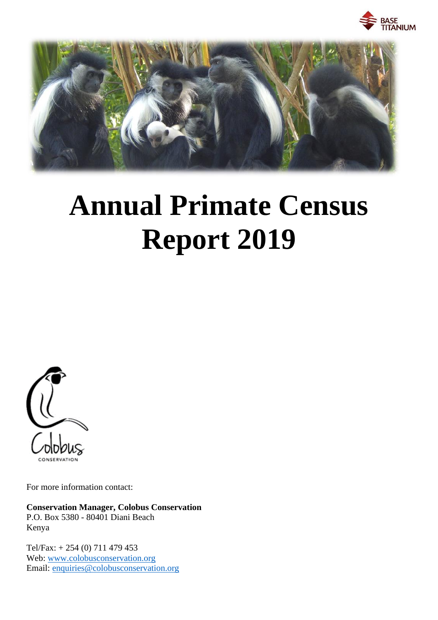



# **Annual Primate Census Report 2019**



For more information contact:

**Conservation Manager, Colobus Conservation** P.O. Box 5380 - 80401 Diani Beach Kenya

Tel/Fax: + 254 (0) 711 479 453 Web: [www.colobusconservation.org](http://www.colobusconservation.org/) Email: [enquiries@colobusconservation.org](mailto:enquiries@colobusconservation.org)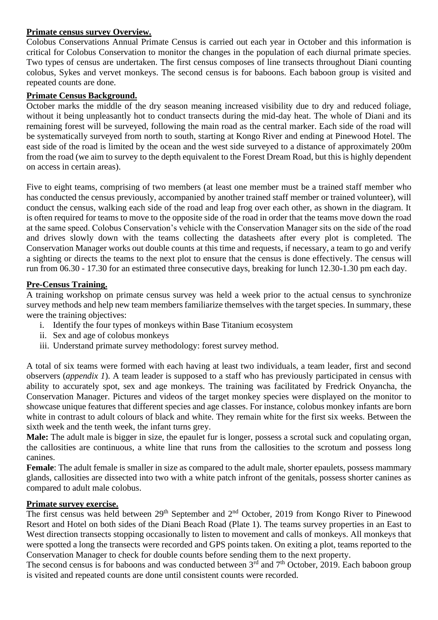#### **Primate census survey Overview.**

Colobus Conservations Annual Primate Census is carried out each year in October and this information is critical for Colobus Conservation to monitor the changes in the population of each diurnal primate species. Two types of census are undertaken. The first census composes of line transects throughout Diani counting colobus, Sykes and vervet monkeys. The second census is for baboons. Each baboon group is visited and repeated counts are done.

#### **Primate Census Background.**

October marks the middle of the dry season meaning increased visibility due to dry and reduced foliage, without it being unpleasantly hot to conduct transects during the mid-day heat. The whole of Diani and its remaining forest will be surveyed, following the main road as the central marker. Each side of the road will be systematically surveyed from north to south, starting at Kongo River and ending at Pinewood Hotel. The east side of the road is limited by the ocean and the west side surveyed to a distance of approximately 200m from the road (we aim to survey to the depth equivalent to the Forest Dream Road, but this is highly dependent on access in certain areas).

Five to eight teams, comprising of two members (at least one member must be a trained staff member who has conducted the census previously, accompanied by another trained staff member or trained volunteer), will conduct the census, walking each side of the road and leap frog over each other, as shown in the diagram. It is often required for teams to move to the opposite side of the road in order that the teams move down the road at the same speed. Colobus Conservation's vehicle with the Conservation Manager sits on the side of the road and drives slowly down with the teams collecting the datasheets after every plot is completed. The Conservation Manager works out double counts at this time and requests, if necessary, a team to go and verify a sighting or directs the teams to the next plot to ensure that the census is done effectively. The census will run from 06.30 - 17.30 for an estimated three consecutive days, breaking for lunch 12.30-1.30 pm each day.

#### **Pre-Census Training.**

A training workshop on primate census survey was held a week prior to the actual census to synchronize survey methods and help new team members familiarize themselves with the target species. In summary, these were the training objectives:

- i. Identify the four types of monkeys within Base Titanium ecosystem
- ii. Sex and age of colobus monkeys
- iii. Understand primate survey methodology: forest survey method.

A total of six teams were formed with each having at least two individuals, a team leader, first and second observers (*appendix 1*). A team leader is supposed to a staff who has previously participated in census with ability to accurately spot, sex and age monkeys. The training was facilitated by Fredrick Onyancha, the Conservation Manager. Pictures and videos of the target monkey species were displayed on the monitor to showcase unique features that different species and age classes. For instance, colobus monkey infants are born white in contrast to adult colours of black and white. They remain white for the first six weeks. Between the sixth week and the tenth week, the infant turns grey.

**Male:** The adult male is bigger in size, the epaulet fur is longer, possess a scrotal suck and copulating organ, the callosities are continuous, a white line that runs from the callosities to the scrotum and possess long canines.

**Female**: The adult female is smaller in size as compared to the adult male, shorter epaulets, possess mammary glands, callosities are dissected into two with a white patch infront of the genitals, possess shorter canines as compared to adult male colobus.

#### **Primate survey exercise.**

The first census was held between 29<sup>th</sup> September and 2<sup>nd</sup> October, 2019 from Kongo River to Pinewood Resort and Hotel on both sides of the Diani Beach Road [\(Plate 1\)](#page-4-0). The teams survey properties in an East to West direction transects stopping occasionally to listen to movement and calls of monkeys. All monkeys that were spotted a long the transects were recorded and GPS points taken. On exiting a plot, teams reported to the Conservation Manager to check for double counts before sending them to the next property.

The second census is for baboons and was conducted between  $3<sup>rd</sup>$  and  $7<sup>th</sup>$  October, 2019. Each baboon group is visited and repeated counts are done until consistent counts were recorded.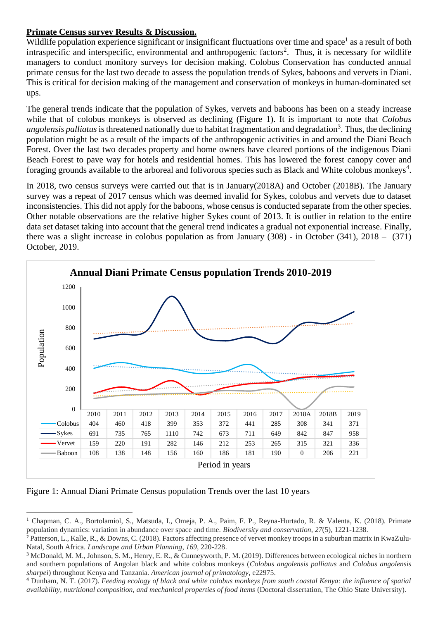## **Primate Census survey Results & Discussion.**

Wildlife population experience significant or insignificant fluctuations over time and space<sup>1</sup> as a result of both intraspecific and interspecific, environmental and anthropogenic factors<sup>2</sup>. Thus, it is necessary for wildlife managers to conduct monitory surveys for decision making. Colobus Conservation has conducted annual primate census for the last two decade to assess the population trends of Sykes, baboons and vervets in Diani. This is critical for decision making of the management and conservation of monkeys in human-dominated set ups.

The general trends indicate that the population of Sykes, vervets and baboons has been on a steady increase while that of colobus monkeys is observed as declining [\(Figure 1\)](#page-2-0). It is important to note that *Colobus*  angolensis palliatus is threatened nationally due to habitat fragmentation and degradation<sup>3</sup>. Thus, the declining population might be as a result of the impacts of the anthropogenic activities in and around the Diani Beach Forest. Over the last two decades property and home owners have cleared portions of the indigenous Diani Beach Forest to pave way for hotels and residential homes. This has lowered the forest canopy cover and foraging grounds available to the arboreal and folivorous species such as Black and White colobus monkeys<sup>4</sup>.

In 2018, two census surveys were carried out that is in January(2018A) and October (2018B). The January survey was a repeat of 2017 census which was deemed invalid for Sykes, colobus and vervets due to dataset inconsistencies. This did not apply for the baboons, whose census is conducted separate from the other species. Other notable observations are the relative higher Sykes count of 2013. It is outlier in relation to the entire data set dataset taking into account that the general trend indicates a gradual not exponential increase. Finally, there was a slight increase in colobus population as from January (308) - in October (341), 2018 – (371) October, 2019.



<span id="page-2-0"></span>Figure 1: Annual Diani Primate Census population Trends over the last 10 years

<sup>&</sup>lt;sup>1</sup> Chapman, C. A., Bortolamiol, S., Matsuda, I., Omeja, P. A., Paim, F. P., Reyna-Hurtado, R. & Valenta, K. (2018). Primate population dynamics: variation in abundance over space and time. *Biodiversity and conservation*, *27*(5), 1221-1238.

<sup>&</sup>lt;sup>2</sup> Patterson, L., Kalle, R., & Downs, C. (2018). Factors affecting presence of vervet monkey troops in a suburban matrix in KwaZulu-Natal, South Africa. *Landscape and Urban Planning*, *169*, 220-228.

<sup>3</sup> McDonald, M. M., Johnson, S. M., Henry, E. R., & Cunneyworth, P. M. (2019). Differences between ecological niches in northern and southern populations of Angolan black and white colobus monkeys (*Colobus angolensis palliatus* and *Colobus angolensis sharpei*) throughout Kenya and Tanzania. *American journal of primatology*, e22975.

<sup>4</sup> Dunham, N. T. (2017). *Feeding ecology of black and white colobus monkeys from south coastal Kenya: the influence of spatial availability, nutritional composition, and mechanical properties of food items* (Doctoral dissertation, The Ohio State University).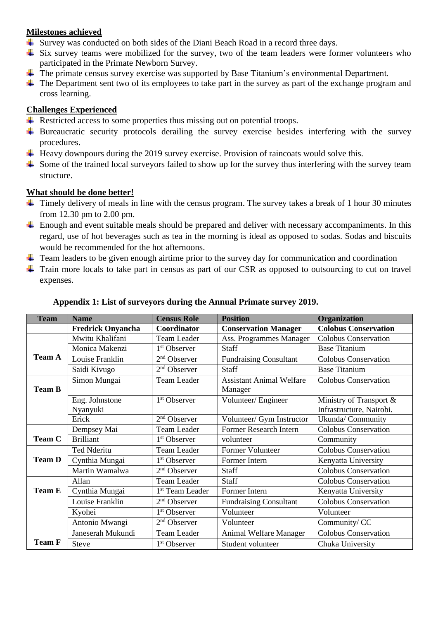## **Milestones achieved**

- $\overline{\phantom{a}}$  Survey was conducted on both sides of the Diani Beach Road in a record three days.
- $\frac{1}{x}$  Six survey teams were mobilized for the survey, two of the team leaders were former volunteers who participated in the Primate Newborn Survey.
- $\overline{\text{+}}$  The primate census survey exercise was supported by Base Titanium's environmental Department.
- $\pm$  The Department sent two of its employees to take part in the survey as part of the exchange program and cross learning.

## **Challenges Experienced**

- $\overline{\phantom{a}}$  Restricted access to some properties thus missing out on potential troops.
- $\overline{\phantom{a}}$  Bureaucratic security protocols derailing the survey exercise besides interfering with the survey procedures.
- $\ddot{\text{+}}$  Heavy downpours during the 2019 survey exercise. Provision of raincoats would solve this.
- $\frac{1}{\sqrt{1}}$  Some of the trained local surveyors failed to show up for the survey thus interfering with the survey team structure.

## **What should be done better!**

- $\pm$  Timely delivery of meals in line with the census program. The survey takes a break of 1 hour 30 minutes from 12.30 pm to 2.00 pm.
- $\ddot{\phantom{a}}$  Enough and event suitable meals should be prepared and deliver with necessary accompaniments. In this regard, use of hot beverages such as tea in the morning is ideal as opposed to sodas. Sodas and biscuits would be recommended for the hot afternoons.
- $\ddot{\phantom{a}}$  Team leaders to be given enough airtime prior to the survey day for communication and coordination
- Train more locals to take part in census as part of our CSR as opposed to outsourcing to cut on travel expenses.

| <b>Team</b>   | <b>Name</b>              | <b>Census Role</b>          | <b>Position</b>                 | Organization                |
|---------------|--------------------------|-----------------------------|---------------------------------|-----------------------------|
|               | <b>Fredrick Onyancha</b> | Coordinator                 | <b>Conservation Manager</b>     | <b>Colobus Conservation</b> |
|               | Mwitu Khalifani          | <b>Team Leader</b>          | Ass. Programmes Manager         | <b>Colobus Conservation</b> |
|               | Monica Makenzi           | 1 <sup>st</sup> Observer    | Staff                           | <b>Base Titanium</b>        |
| <b>Team A</b> | Louise Franklin          | $2nd$ Observer              | <b>Fundraising Consultant</b>   | <b>Colobus Conservation</b> |
|               | Saidi Kivugo             | $2nd$ Observer              | Staff                           | <b>Base Titanium</b>        |
|               | Simon Mungai             | <b>Team Leader</b>          | <b>Assistant Animal Welfare</b> | <b>Colobus Conservation</b> |
| <b>Team B</b> |                          |                             | Manager                         |                             |
|               | Eng. Johnstone           | 1 <sup>st</sup> Observer    | Volunteer/Engineer              | Ministry of Transport &     |
|               | Nyanyuki                 |                             |                                 | Infrastructure, Nairobi.    |
|               | Erick                    | 2 <sup>nd</sup> Observer    | Volunteer/ Gym Instructor       | Ukunda/ Community           |
|               | Dempsey Mai              | <b>Team Leader</b>          | Former Research Intern          | <b>Colobus Conservation</b> |
| Team C        | <b>Brilliant</b>         | 1 <sup>st</sup> Observer    | volunteer                       | Community                   |
|               | <b>Ted Nderitu</b>       | <b>Team Leader</b>          | Former Volunteer                | <b>Colobus Conservation</b> |
| <b>Team D</b> | Cynthia Mungai           | 1 <sup>st</sup> Observer    | Former Intern                   | Kenyatta University         |
|               | Martin Wamalwa           | $2nd$ Observer              | Staff                           | <b>Colobus Conservation</b> |
|               | Allan                    | Team Leader                 | Staff                           | <b>Colobus Conservation</b> |
| <b>Team E</b> | Cynthia Mungai           | 1 <sup>st</sup> Team Leader | Former Intern                   | Kenyatta University         |
|               | Louise Franklin          | $2nd$ Observer              | <b>Fundraising Consultant</b>   | <b>Colobus Conservation</b> |
|               | Kyohei                   | 1 <sup>st</sup> Observer    | Volunteer                       | Volunteer                   |
|               | Antonio Mwangi           | $2nd$ Observer              | Volunteer                       | Community/CC                |
|               | Janeserah Mukundi        | Team Leader                 | Animal Welfare Manager          | <b>Colobus Conservation</b> |
| <b>Team F</b> | <b>Steve</b>             | 1 <sup>st</sup> Observer    | Student volunteer               | Chuka University            |

## **Appendix 1: List of surveyors during the Annual Primate survey 2019.**